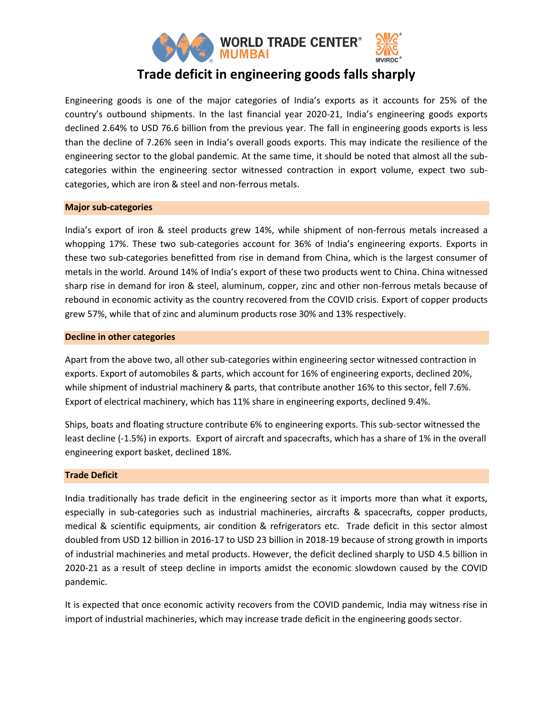

# **Trade deficit in engineering goods falls sharply**

Engineering goods is one of the major categories of India's exports as it accounts for 25% of the country's outbound shipments. In the last financial year 2020-21, India's engineering goods exports declined 2.64% to USD 76.6 billion from the previous year. The fall in engineering goods exports is less than the decline of 7.26% seen in India's overall goods exports. This may indicate the resilience of the engineering sector to the global pandemic. At the same time, it should be noted that almost all the subcategories within the engineering sector witnessed contraction in export volume, expect two subcategories, which are iron & steel and non-ferrous metals.

### **Major sub-categories**

India's export of iron & steel products grew 14%, while shipment of non-ferrous metals increased a whopping 17%. These two sub-categories account for 36% of India's engineering exports. Exports in these two sub-categories benefitted from rise in demand from China, which is the largest consumer of metals in the world. Around 14% of India's export of these two products went to China. China witnessed sharp rise in demand for iron & steel, aluminum, copper, zinc and other non-ferrous metals because of rebound in economic activity as the country recovered from the COVID crisis. Export of copper products grew 57%, while that of zinc and aluminum products rose 30% and 13% respectively.

#### **Decline in other categories**

Apart from the above two, all other sub-categories within engineering sector witnessed contraction in exports. Export of automobiles & parts, which account for 16% of engineering exports, declined 20%, while shipment of industrial machinery & parts, that contribute another 16% to this sector, fell 7.6%. Export of electrical machinery, which has 11% share in engineering exports, declined 9.4%.

Ships, boats and floating structure contribute 6% to engineering exports. This sub-sector witnessed the least decline (-1.5%) in exports. Export of aircraft and spacecrafts, which has a share of 1% in the overall engineering export basket, declined 18%.

#### **Trade Deficit**

India traditionally has trade deficit in the engineering sector as it imports more than what it exports, especially in sub-categories such as industrial machineries, aircrafts & spacecrafts, copper products, medical & scientific equipments, air condition & refrigerators etc. Trade deficit in this sector almost doubled from USD 12 billion in 2016-17 to USD 23 billion in 2018-19 because of strong growth in imports of industrial machineries and metal products. However, the deficit declined sharply to USD 4.5 billion in 2020-21 as a result of steep decline in imports amidst the economic slowdown caused by the COVID pandemic.

It is expected that once economic activity recovers from the COVID pandemic, India may witness rise in import of industrial machineries, which may increase trade deficit in the engineering goods sector.